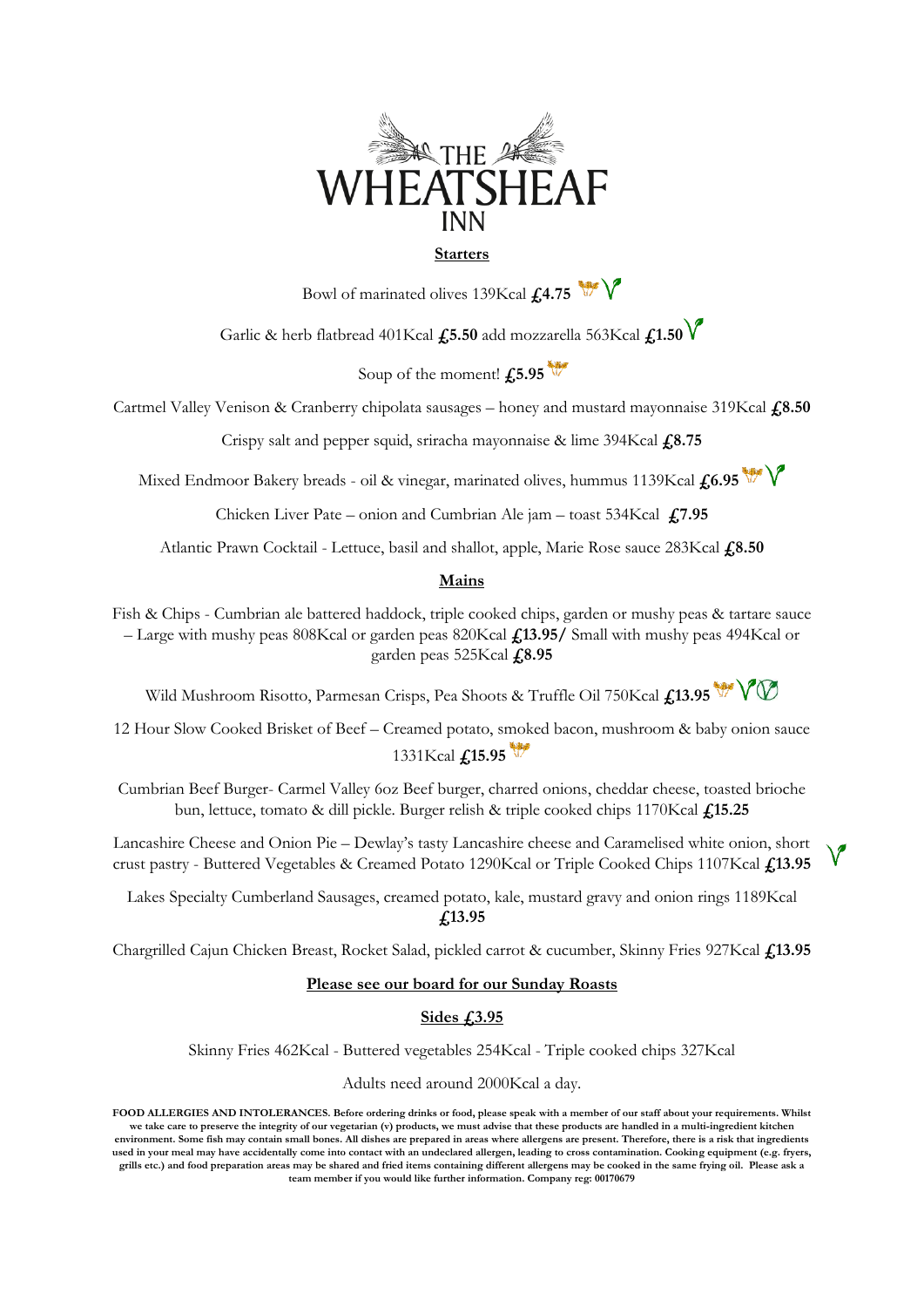

## **Starters**

Bowl of marinated olives 139Kcal **£4.75** 

Garlic & herb flatbread 401Kcal **£5.50** add mozzarella 563Kcal **£1.50**

Soup of the moment! **£5.95**

Cartmel Valley Venison & Cranberry chipolata sausages – honey and mustard mayonnaise 319Kcal **£8.50**

Crispy salt and pepper squid, sriracha mayonnaise & lime 394Kcal **£8.75**

Mixed Endmoor Bakery breads - oil & vinegar, marinated olives, hummus 1139Kcal  $f(6.95$ 

Chicken Liver Pate – onion and Cumbrian Ale jam – toast 534Kcal **£7.95**

Atlantic Prawn Cocktail - Lettuce, basil and shallot, apple, Marie Rose sauce 283Kcal **£8.50**

## **Mains**

Fish & Chips - Cumbrian ale battered haddock, triple cooked chips, garden or mushy peas & tartare sauce – Large with mushy peas 808Kcal or garden peas 820Kcal **£13.95/** Small with mushy peas 494Kcal or garden peas 525Kcal **£8.95**

Wild Mushroom Risotto, Parmesan Crisps, Pea Shoots & Truffle Oil 750Kcal £13.95<sup>4</sup>

12 Hour Slow Cooked Brisket of Beef – Creamed potato, smoked bacon, mushroom & baby onion sauce 1331Kcal **£15.95**

Cumbrian Beef Burger- Carmel Valley 6oz Beef burger, charred onions, cheddar cheese, toasted brioche bun, lettuce, tomato & dill pickle. Burger relish & triple cooked chips 1170Kcal **£15.25**

Lancashire Cheese and Onion Pie – Dewlay's tasty Lancashire cheese and Caramelised white onion, short crust pastry - Buttered Vegetables & Creamed Potato 1290Kcal or Triple Cooked Chips 1107Kcal **£13.95**

Lakes Specialty Cumberland Sausages, creamed potato, kale, mustard gravy and onion rings 1189Kcal **£13.95**

Chargrilled Cajun Chicken Breast, Rocket Salad, pickled carrot & cucumber, Skinny Fries 927Kcal **£13.95**

## **Please see our board for our Sunday Roasts**

## **Sides £3.95**

Skinny Fries 462Kcal - Buttered vegetables 254Kcal - Triple cooked chips 327Kcal

Adults need around 2000Kcal a day.

**FOOD ALLERGIES AND INTOLERANCES. Before ordering drinks or food, please speak with a member of our staff about your requirements. Whilst**  we take care to preserve the integrity of our vegetarian (v) products, we must advise that these products are handled in a multi-ingredient kitchen **environment. Some fish may contain small bones. All dishes are prepared in areas where allergens are present. Therefore, there is a risk that ingredients used in your meal may have accidentally come into contact with an undeclared allergen, leading to cross contamination. Cooking equipment (e.g. fryers, grills etc.) and food preparation areas may be shared and fried items containing different allergens may be cooked in the same frying oil. Please ask a team member if you would like further information. Company reg: 00170679**